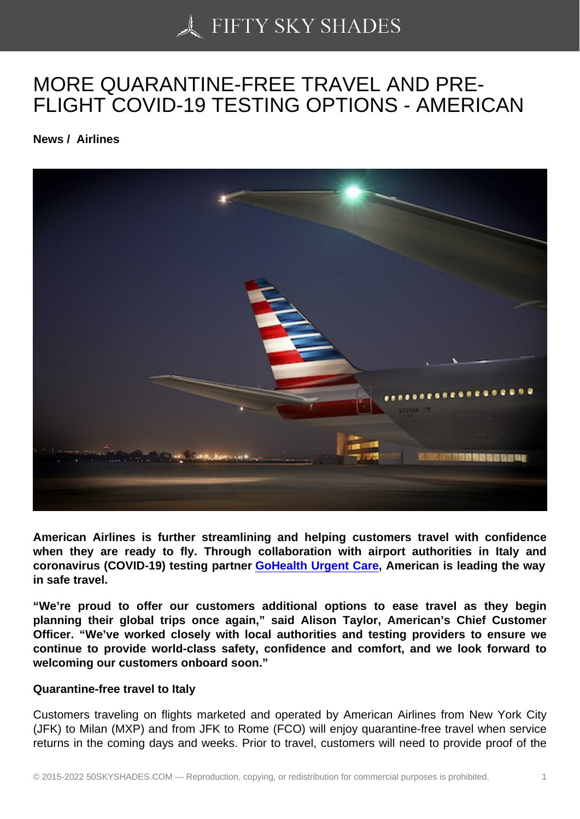## [MORE QUARANTINE-](https://50skyshades.com)FREE TRAVEL AND PRE-FLIGHT COVID-19 TESTING OPTIONS - AMERICAN

News / Airlines

American Airlines is further streamlining and helping customers travel with confidence when they are ready to fly. Through collaboration with airport authorities in Italy and coronavirus (COVID-19) testing partner GoHealth Urgent Care, American is leading the way in safe travel.

"We're proud to offer our customers additional options to ease travel as they begin planning their global trips once again," [said Alison Taylor, Ame](https://www.gohealthuc.com/american-airlines)rican's Chief Customer Officer. "We've worked closely with local authorities and testing providers to ensure we continue to provide world-class safety, confidence and comfort, and we look forward to welcoming our customers onboard soon."

## Quarantine-free travel to Italy

Customers traveling on flights marketed and operated by American Airlines from New York City (JFK) to Milan (MXP) and from JFK to Rome (FCO) will enjoy quarantine-free travel when service returns in the coming days and weeks. Prior to travel, customers will need to provide proof of the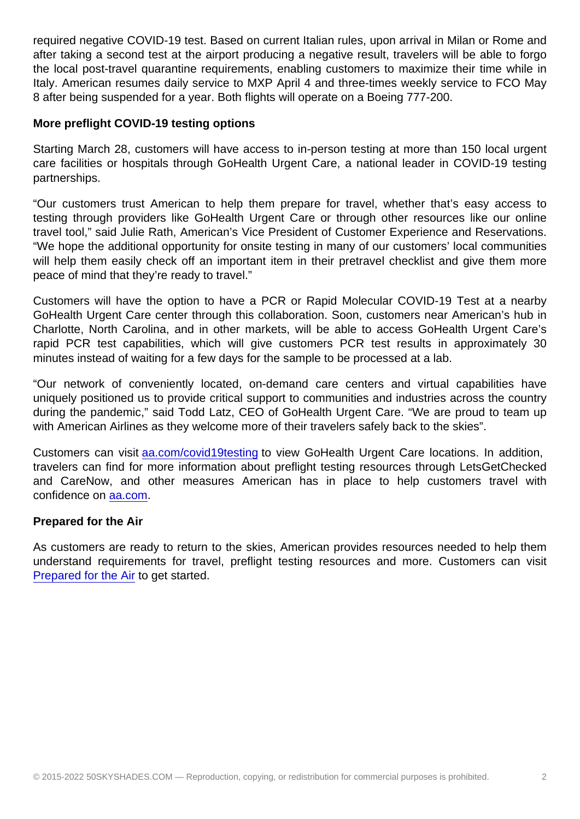after taking a second test at the airport producing a negative result, travelers will be able to forgo the local post-travel quarantine requirements, enabling customers to maximize their time while in Italy. American resumes daily service to MXP April 4 and three-times weekly service to FCO May 8 after being suspended for a year. Both flights will operate on a Boeing 777-200.

More preflight COVID-19 testing options

Starting March 28, customers will have access to in-person testing at more than 150 local urgent care facilities or hospitals through GoHealth Urgent Care, a national leader in COVID-19 testing partnerships.

"Our customers trust American to help them prepare for travel, whether that's easy access to testing through providers like GoHealth Urgent Care or through other resources like our online travel tool," said Julie Rath, American's Vice President of Customer Experience and Reservations. "We hope the additional opportunity for onsite testing in many of our customers' local communities will help them easily check off an important item in their pretravel checklist and give them more peace of mind that they're ready to travel."

Customers will have the option to have a PCR or Rapid Molecular COVID-19 Test at a nearby GoHealth Urgent Care center through this collaboration. Soon, customers near American's hub in Charlotte, North Carolina, and in other markets, will be able to access GoHealth Urgent Care's rapid PCR test capabilities, which will give customers PCR test results in approximately 30 minutes instead of waiting for a few days for the sample to be processed at a lab.

"Our network of conveniently located, on-demand care centers and virtual capabilities have uniquely positioned us to provide critical support to communities and industries across the country during the pandemic," said Todd Latz, CEO of GoHealth Urgent Care. "We are proud to team up with American Airlines as they welcome more of their travelers safely back to the skies".

Customers can visit aa.com/covid19testing to view GoHealth Urgent Care locations. In addition, travelers can find for more information about preflight testing resources through LetsGetChecked and CareNow, and other measures American has in place to help customers travel with confidence on aa.co[m.](https://www.aa.com/covid19testing) 

Prepared for the Air

As customers [are read](https://www.aa.com/i18n/travel-info/travel-with-confidence.jsp?from=bannerContainerA)y to return to the skies, American provides resources needed to help them understand requirements for travel, preflight testing resources and more. Customers can visit Prepared for the Air to get started.